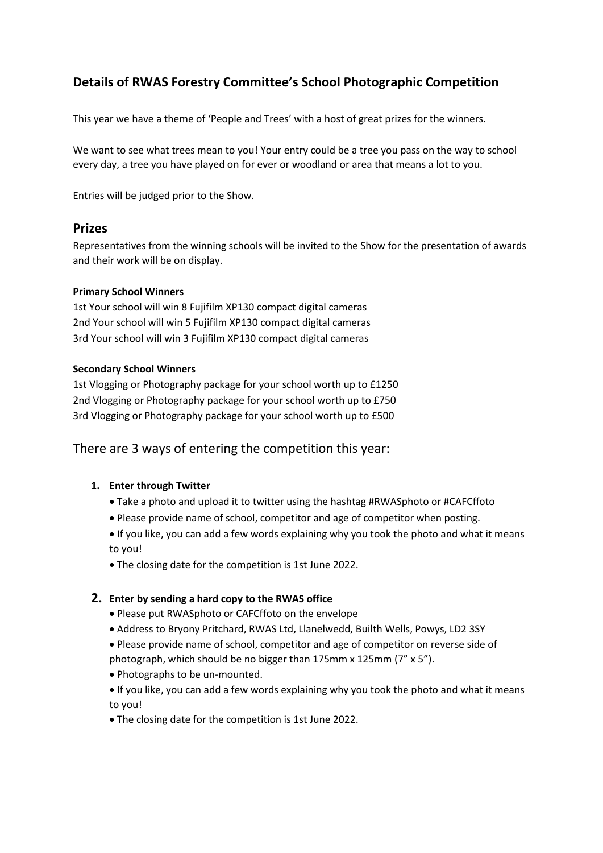# **Details of RWAS Forestry Committee's School Photographic Competition**

This year we have a theme of 'People and Trees' with a host of great prizes for the winners.

We want to see what trees mean to you! Your entry could be a tree you pass on the way to school every day, a tree you have played on for ever or woodland or area that means a lot to you.

Entries will be judged prior to the Show.

# **Prizes**

Representatives from the winning schools will be invited to the Show for the presentation of awards and their work will be on display.

#### **Primary School Winners**

1st Your school will win 8 Fujifilm XP130 compact digital cameras 2nd Your school will win 5 Fujifilm XP130 compact digital cameras 3rd Your school will win 3 Fujifilm XP130 compact digital cameras

#### **Secondary School Winners**

1st Vlogging or Photography package for your school worth up to £1250 2nd Vlogging or Photography package for your school worth up to £750 3rd Vlogging or Photography package for your school worth up to £500

There are 3 ways of entering the competition this year:

## **1. Enter through Twitter**

- Take a photo and upload it to twitter using the hashtag #RWASphoto or #CAFCffoto
- Please provide name of school, competitor and age of competitor when posting.
- If you like, you can add a few words explaining why you took the photo and what it means to you!
- The closing date for the competition is 1st June 2022.

## **2. Enter by sending a hard copy to the RWAS office**

- Please put RWASphoto or CAFCffoto on the envelope
- Address to Bryony Pritchard, RWAS Ltd, Llanelwedd, Builth Wells, Powys, LD2 3SY

• Please provide name of school, competitor and age of competitor on reverse side of photograph, which should be no bigger than 175mm x 125mm (7" x 5").

- Photographs to be un-mounted.
- If you like, you can add a few words explaining why you took the photo and what it means to you!
- The closing date for the competition is 1st June 2022.